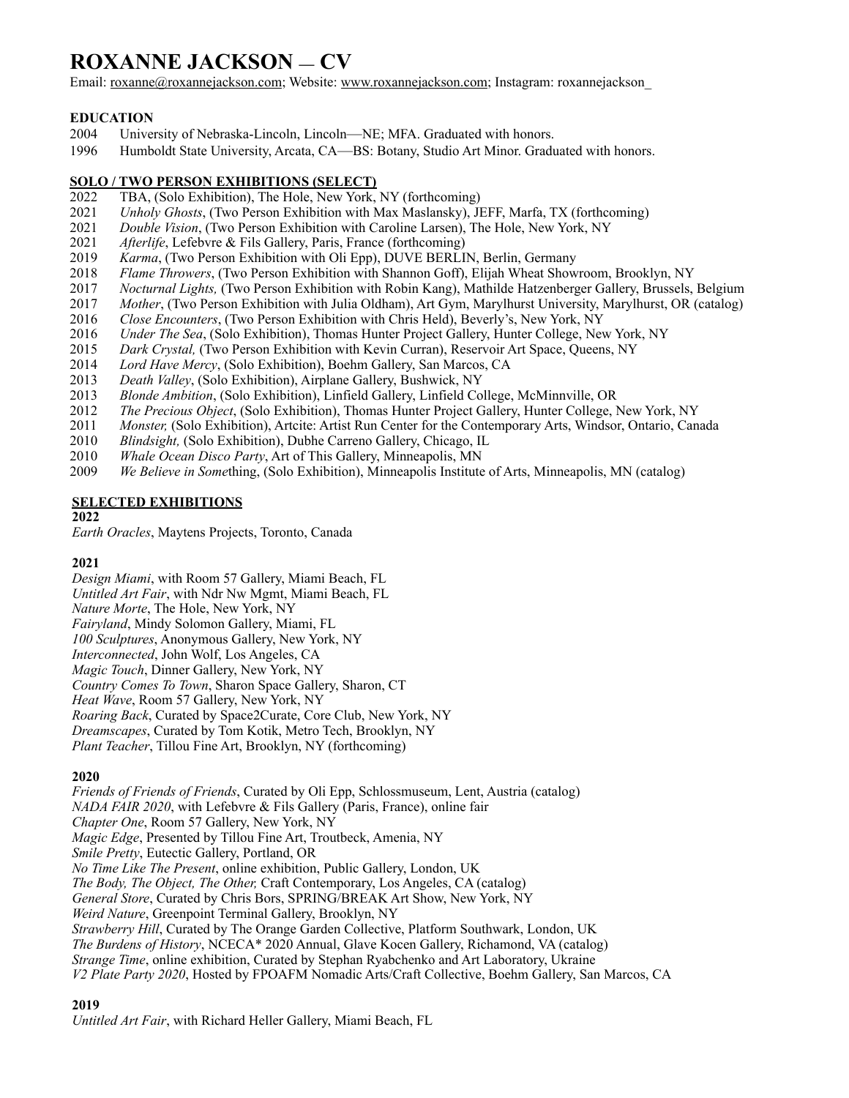# **ROXANNE JACKSON — CV**

Email: [roxanne@roxannejackson.com](mailto:roxanne@roxannejackson.com); Website: [www.roxannejackson.com;](http://www.roxannejackson.com) Instagram: roxannejackson

## **EDUCATION**

- 2004 University of Nebraska-Lincoln, Lincoln—NE; MFA. Graduated with honors.
- 1996 Humboldt State University, Arcata, CA—BS: Botany, Studio Art Minor. Graduated with honors.

#### **SOLO / TWO PERSON EXHIBITIONS (SELECT)**

- 2022 TBA, (Solo Exhibition), The Hole, New York, NY (forthcoming)
- 2021 *Unholy Ghosts*, (Two Person Exhibition with Max Maslansky), JEFF, Marfa, TX (forthcoming)
- 2021 *Double Vision*, (Two Person Exhibition with Caroline Larsen), The Hole, New York, NY
- 2021 *Afterlife*, Lefebvre & Fils Gallery, Paris, France (forthcoming)
- 2019 *Karma*, (Two Person Exhibition with Oli Epp), DUVE BERLIN, Berlin, Germany
- 2018 *Flame Throwers*, (Two Person Exhibition with Shannon Goff), Elijah Wheat Showroom, Brooklyn, NY
- 2017 *Nocturnal Lights,* (Two Person Exhibition with Robin Kang), Mathilde Hatzenberger Gallery, Brussels, Belgium
- 2017 *Mother*, (Two Person Exhibition with Julia Oldham), Art Gym, Marylhurst University, Marylhurst, OR (catalog)<br>2016 *Close Encounters*. (Two Person Exhibition with Chris Held). Beverly's. New York. NY
- 2016 *Close Encounters*, (Two Person Exhibition with Chris Held), Beverly's, New York, NY
- 2016 *Under The Sea*, (Solo Exhibition), Thomas Hunter Project Gallery, Hunter College, New York, NY
- 2015 *Dark Crystal,* (Two Person Exhibition with Kevin Curran), Reservoir Art Space, Queens, NY
- 2014 *Lord Have Mercy*, (Solo Exhibition), Boehm Gallery, San Marcos, CA
- 2013 *Death Valley*, (Solo Exhibition), Airplane Gallery, Bushwick, NY
- 2013 *Blonde Ambition*, (Solo Exhibition), Linfield Gallery, Linfield College, McMinnville, OR
- 2012 *The Precious Object*, (Solo Exhibition), Thomas Hunter Project Gallery, Hunter College, New York, NY
- 2011 *Monster, (Solo Exhibition), Artcite: Artist Run Center for the Contemporary Arts, Windsor, Ontario, Canada*
- 2010 *Blindsight,* (Solo Exhibition), Dubhe Carreno Gallery, Chicago, IL
- 2010 *Whale Ocean Disco Party*, Art of This Gallery, Minneapolis, MN
- 2009 *We Believe in Some*thing, (Solo Exhibition), Minneapolis Institute of Arts, Minneapolis, MN (catalog)

### **SELECTED EXHIBITIONS**

#### **2022**

*Earth Oracles*, Maytens Projects, Toronto, Canada

### **2021**

*Design Miami*, with Room 57 Gallery, Miami Beach, FL *Untitled Art Fair*, with Ndr Nw Mgmt, Miami Beach, FL *Nature Morte*, The Hole, New York, NY *Fairyland*, Mindy Solomon Gallery, Miami, FL *100 Sculptures*, Anonymous Gallery, New York, NY *Interconnected*, John Wolf, Los Angeles, CA *Magic Touch*, Dinner Gallery, New York, NY *Country Comes To Town*, Sharon Space Gallery, Sharon, CT *Heat Wave*, Room 57 Gallery, New York, NY *Roaring Back*, Curated by Space2Curate, Core Club, New York, NY *Dreamscapes*, Curated by Tom Kotik, Metro Tech, Brooklyn, NY *Plant Teacher*, Tillou Fine Art, Brooklyn, NY (forthcoming)

### **2020**

*Friends of Friends of Friends*, Curated by Oli Epp, Schlossmuseum, Lent, Austria (catalog) *NADA FAIR 2020*, with Lefebvre & Fils Gallery (Paris, France), online fair *Chapter One*, Room 57 Gallery, New York, NY *Magic Edge*, Presented by Tillou Fine Art, Troutbeck, Amenia, NY *Smile Pretty*, Eutectic Gallery, Portland, OR *No Time Like The Present*, online exhibition, Public Gallery, London, UK *The Body, The Object, The Other,* Craft Contemporary, Los Angeles, CA (catalog) *General Store*, Curated by Chris Bors, SPRING/BREAK Art Show, New York, NY *Weird Nature*, Greenpoint Terminal Gallery, Brooklyn, NY *Strawberry Hill*, Curated by The Orange Garden Collective, Platform Southwark, London, UK *The Burdens of History*, NCECA\* 2020 Annual, Glave Kocen Gallery, Richamond, VA (catalog) *Strange Time*, online exhibition, Curated by Stephan Ryabchenko and Art Laboratory, Ukraine *V2 Plate Party 2020*, Hosted by FPOAFM Nomadic Arts/Craft Collective, Boehm Gallery, San Marcos, CA

### **2019**

*Untitled Art Fair*, with Richard Heller Gallery, Miami Beach, FL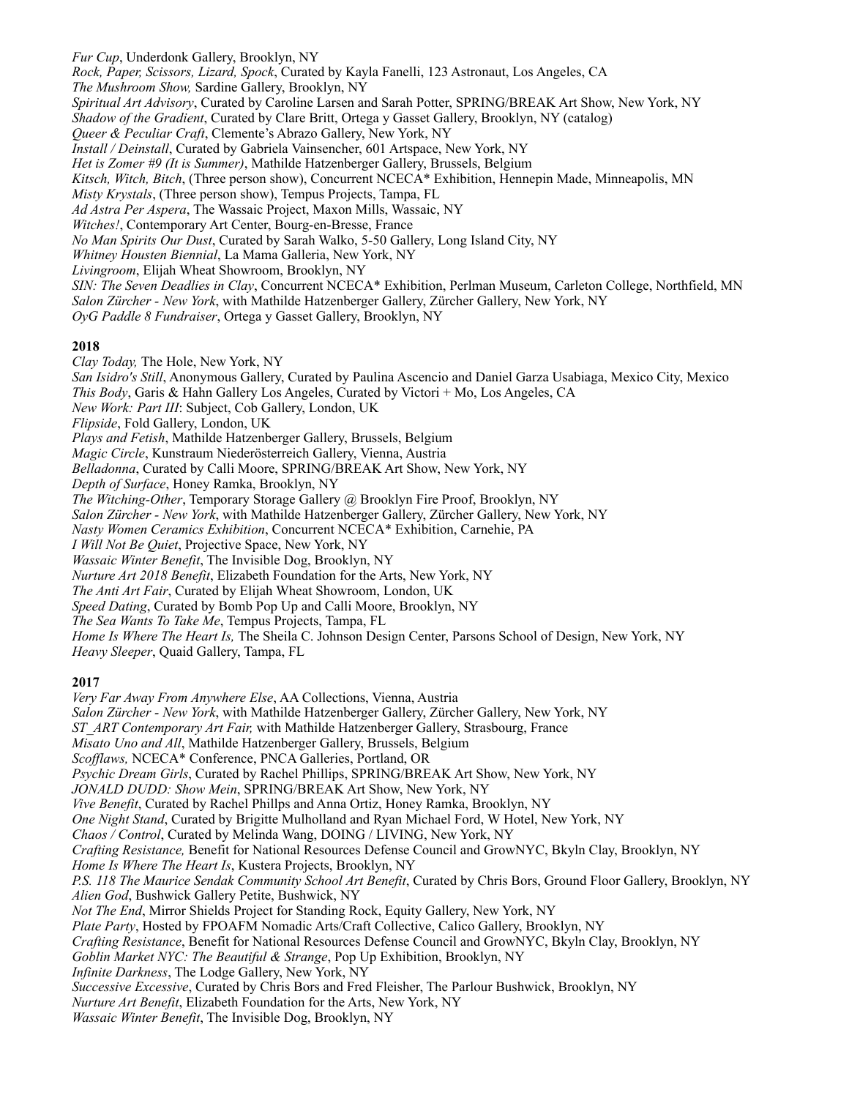*Fur Cup*, Underdonk Gallery, Brooklyn, NY *Rock, Paper, Scissors, Lizard, Spock*, Curated by Kayla Fanelli, 123 Astronaut, Los Angeles, CA *The Mushroom Show,* Sardine Gallery, Brooklyn, NY *Spiritual Art Advisory*, Curated by Caroline Larsen and Sarah Potter, SPRING/BREAK Art Show, New York, NY *Shadow of the Gradient*, Curated by Clare Britt, Ortega y Gasset Gallery, Brooklyn, NY (catalog) *Queer & Peculiar Craft*, Clemente's Abrazo Gallery, New York, NY *Install / Deinstall*, Curated by Gabriela Vainsencher, 601 Artspace, New York, NY *Het is Zomer #9 (It is Summer)*, Mathilde Hatzenberger Gallery, Brussels, Belgium *Kitsch, Witch, Bitch*, (Three person show), Concurrent NCECA\* Exhibition, Hennepin Made, Minneapolis, MN *Misty Krystals*, (Three person show), Tempus Projects, Tampa, FL *Ad Astra Per Aspera*, The Wassaic Project, Maxon Mills, Wassaic, NY *Witches!*, Contemporary Art Center, Bourg-en-Bresse, France *No Man Spirits Our Dust*, Curated by Sarah Walko, 5-50 Gallery, Long Island City, NY *Whitney Housten Biennial*, La Mama Galleria, New York, NY *Livingroom*, Elijah Wheat Showroom, Brooklyn, NY *SIN: The Seven Deadlies in Clay*, Concurrent NCECA\* Exhibition, Perlman Museum, Carleton College, Northfield, MN *Salon Zürcher - New York*, with Mathilde Hatzenberger Gallery, Zürcher Gallery, New York, NY *OyG Paddle 8 Fundraiser*, Ortega y Gasset Gallery, Brooklyn, NY **2018** *Clay Today,* The Hole, New York, NY *San Isidro's Still*, Anonymous Gallery, Curated by Paulina Ascencio and Daniel Garza Usabiaga, Mexico City, Mexico *This Body*, Garis & Hahn Gallery Los Angeles, Curated by Victori + Mo, Los Angeles, CA *New Work: Part III*: Subject, Cob Gallery, London, UK *Flipside*, Fold Gallery, London, UK *Plays and Fetish*, Mathilde Hatzenberger Gallery, Brussels, Belgium *Magic Circle*, Kunstraum Niederösterreich Gallery, Vienna, Austria *Belladonna*, Curated by Calli Moore, SPRING/BREAK Art Show, New York, NY *Depth of Surface*, Honey Ramka, Brooklyn, NY *The Witching-Other*, Temporary Storage Gallery @ Brooklyn Fire Proof, Brooklyn, NY *Salon Zürcher - New York*, with Mathilde Hatzenberger Gallery, Zürcher Gallery, New York, NY *Nasty Women Ceramics Exhibition*, Concurrent NCECA\* Exhibition, Carnehie, PA

*I Will Not Be Quiet*, Projective Space, New York, NY

*Wassaic Winter Benefit*, The Invisible Dog, Brooklyn, NY

*Nurture Art 2018 Benefit*, Elizabeth Foundation for the Arts, New York, NY

*The Anti Art Fair*, Curated by Elijah Wheat Showroom, London, UK

*Speed Dating*, Curated by Bomb Pop Up and Calli Moore, Brooklyn, NY

*The Sea Wants To Take Me*, Tempus Projects, Tampa, FL

*Home Is Where The Heart Is,* The Sheila C. Johnson Design Center, Parsons School of Design, New York, NY *Heavy Sleeper*, Quaid Gallery, Tampa, FL

### **2017**

*Very Far Away From Anywhere Else*, AA Collections, Vienna, Austria *Salon Zürcher - New York*, with Mathilde Hatzenberger Gallery, Zürcher Gallery, New York, NY *ST\_ART Contemporary Art Fair,* with Mathilde Hatzenberger Gallery, Strasbourg, France *Misato Uno and All*, Mathilde Hatzenberger Gallery, Brussels, Belgium *Scofflaws,* NCECA\* Conference, PNCA Galleries, Portland, OR *Psychic Dream Girls*, Curated by Rachel Phillips, SPRING/BREAK Art Show, New York, NY *JONALD DUDD: Show Mein*, SPRING/BREAK Art Show, New York, NY *Vive Benefit*, Curated by Rachel Phillps and Anna Ortiz, Honey Ramka, Brooklyn, NY *One Night Stand*, Curated by Brigitte Mulholland and Ryan Michael Ford, W Hotel, New York, NY *Chaos / Control*, Curated by Melinda Wang, DOING / LIVING, New York, NY *Crafting Resistance,* Benefit for National Resources Defense Council and GrowNYC, Bkyln Clay, Brooklyn, NY *Home Is Where The Heart Is*, Kustera Projects, Brooklyn, NY *P.S. 118 The Maurice Sendak Community School Art Benefit*, Curated by Chris Bors, Ground Floor Gallery, Brooklyn, NY *Alien God*, Bushwick Gallery Petite, Bushwick, NY *Not The End*, Mirror Shields Project for Standing Rock, Equity Gallery, New York, NY *Plate Party*, Hosted by FPOAFM Nomadic Arts/Craft Collective, Calico Gallery, Brooklyn, NY *Crafting Resistance*, Benefit for National Resources Defense Council and GrowNYC, Bkyln Clay, Brooklyn, NY *Goblin Market NYC: The Beautiful & Strange*, Pop Up Exhibition, Brooklyn, NY *Infinite Darkness*, The Lodge Gallery, New York, NY *Successive Excessive*, Curated by Chris Bors and Fred Fleisher, The Parlour Bushwick, Brooklyn, NY *Nurture Art Benefit*, Elizabeth Foundation for the Arts, New York, NY *Wassaic Winter Benefit*, The Invisible Dog, Brooklyn, NY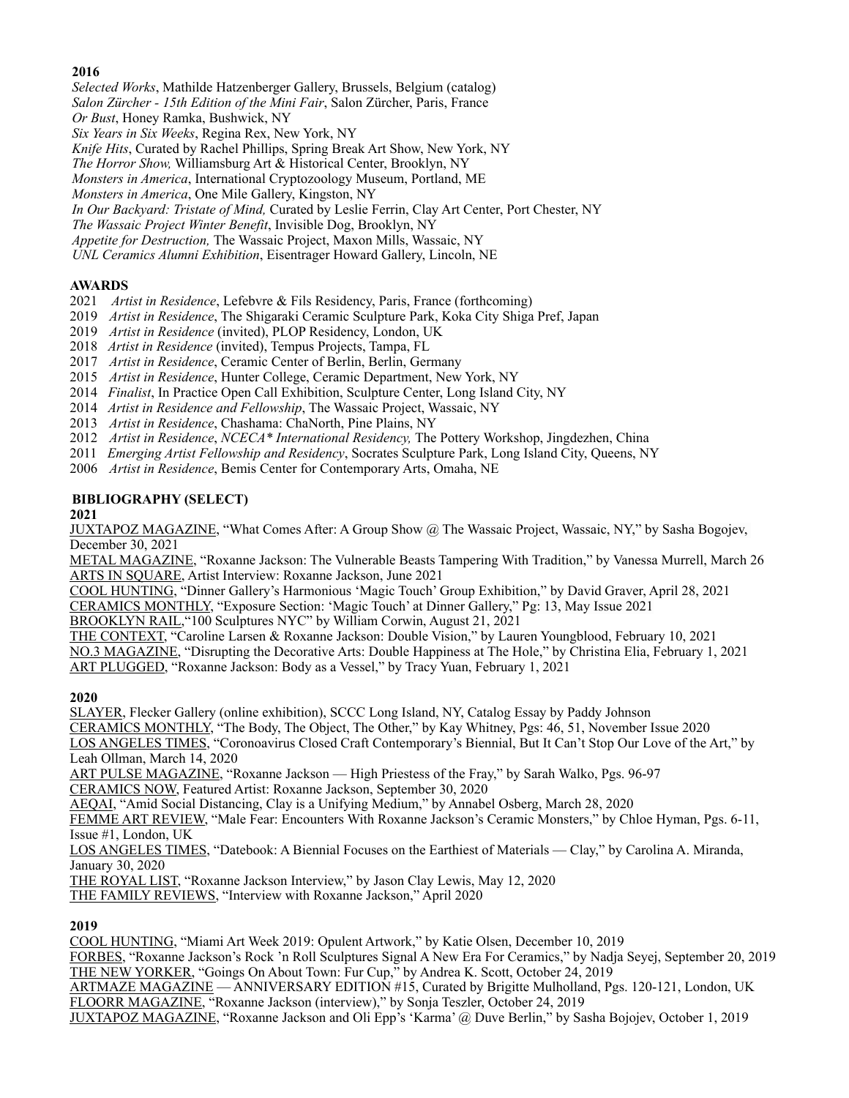## **2016**

*Selected Works*, Mathilde Hatzenberger Gallery, Brussels, Belgium (catalog)

- *Salon Zürcher 15th Edition of the Mini Fair*, Salon Zürcher, Paris, France
- *Or Bust*, Honey Ramka, Bushwick, NY

*Six Years in Six Weeks*, Regina Rex, New York, NY

- *Knife Hits*, Curated by Rachel Phillips, Spring Break Art Show, New York, NY
- *The Horror Show,* Williamsburg Art & Historical Center, Brooklyn, NY

*Monsters in America*, International Cryptozoology Museum, Portland, ME

*Monsters in America*, One Mile Gallery, Kingston, NY

*In Our Backyard: Tristate of Mind,* Curated by Leslie Ferrin, Clay Art Center, Port Chester, NY

*The Wassaic Project Winter Benefit*, Invisible Dog, Brooklyn, NY

*Appetite for Destruction,* The Wassaic Project, Maxon Mills, Wassaic, NY

*UNL Ceramics Alumni Exhibition*, Eisentrager Howard Gallery, Lincoln, NE

## **AWARDS**

- 2021 *Artist in Residence*, Lefebvre & Fils Residency, Paris, France (forthcoming)
- 2019 *Artist in Residence*, The Shigaraki Ceramic Sculpture Park, Koka City Shiga Pref, Japan
- 2019*Artist in Residence* (invited), PLOP Residency, London, UK
- 2018 *Artist in Residence* (invited), Tempus Projects, Tampa, FL
- 2017 *Artist in Residence*, Ceramic Center of Berlin, Berlin, Germany
- 2015 *Artist in Residence*, Hunter College, Ceramic Department, New York, NY
- 2014 *Finalist*, In Practice Open Call Exhibition, Sculpture Center, Long Island City, NY
- 2014 *Artist in Residence and Fellowship*, The Wassaic Project, Wassaic, NY
- 2013 *Artist in Residence*, Chashama: ChaNorth, Pine Plains, NY
- 2012 *Artist in Residence*, *NCECA\* International Residency,* The Pottery Workshop, Jingdezhen, China
- 2011 *Emerging Artist Fellowship and Residency*, Socrates Sculpture Park, Long Island City, Queens, NY
- 2006 *Artist in Residence*, Bemis Center for Contemporary Arts, Omaha, NE

## **BIBLIOGRAPHY (SELECT)**

**2021**

JUXTAPOZ MAGAZINE, "What Comes After: A Group Show @ The Wassaic Project, Wassaic, NY," by Sasha Bogojev, December 30, 2021

METAL MAGAZINE, "Roxanne Jackson: The Vulnerable Beasts Tampering With Tradition," by Vanessa Murrell, March 26 ARTS IN SQUARE, Artist Interview: Roxanne Jackson, June 2021

COOL HUNTING, "Dinner Gallery's Harmonious 'Magic Touch' Group Exhibition," by David Graver, April 28, 2021

CERAMICS MONTHLY, "Exposure Section: 'Magic Touch' at Dinner Gallery," Pg: 13, May Issue 2021

BROOKLYN RAIL,"100 Sculptures NYC" by William Corwin, August 21, 2021

THE CONTEXT, "Caroline Larsen & Roxanne Jackson: Double Vision," by Lauren Youngblood, February 10, 2021 NO.3 MAGAZINE, "Disrupting the Decorative Arts: Double Happiness at The Hole," by Christina Elia, February 1, 2021 ART PLUGGED, "Roxanne Jackson: Body as a Vessel," by Tracy Yuan, February 1, 2021

### **2020**

SLAYER, Flecker Gallery (online exhibition), SCCC Long Island, NY, Catalog Essay by Paddy Johnson CERAMICS MONTHLY, "The Body, The Object, The Other," by Kay Whitney, Pgs: 46, 51, November Issue 2020 LOS ANGELES TIMES, "Coronoavirus Closed Craft Contemporary's Biennial, But It Can't Stop Our Love of the Art," by

Leah Ollman, March 14, 2020

ART PULSE MAGAZINE, "Roxanne Jackson — High Priestess of the Fray," by Sarah Walko, Pgs. 96-97

CERAMICS NOW, Featured Artist: Roxanne Jackson, September 30, 2020

AEQAI, "Amid Social Distancing, Clay is a Unifying Medium," by Annabel Osberg, March 28, 2020

FEMME ART REVIEW, "Male Fear: Encounters With Roxanne Jackson's Ceramic Monsters," by Chloe Hyman, Pgs. 6-11, Issue #1, London, UK

LOS ANGELES TIMES, "Datebook: A Biennial Focuses on the Earthiest of Materials — Clay," by Carolina A. Miranda, January 30, 2020

THE ROYAL LIST, "Roxanne Jackson Interview," by Jason Clay Lewis, May 12, 2020

THE FAMILY REVIEWS, "Interview with Roxanne Jackson," April 2020

## **2019**

COOL HUNTING, "Miami Art Week 2019: Opulent Artwork," by Katie Olsen, December 10, 2019 FORBES, "Roxanne Jackson's Rock 'n Roll Sculptures Signal A New Era For Ceramics," by Nadja Seyej, September 20, 2019 THE NEW YORKER, "Goings On About Town: Fur Cup," by Andrea K. Scott, October 24, 2019

ARTMAZE MAGAZINE — ANNIVERSARY EDITION #15, Curated by Brigitte Mulholland, Pgs. 120-121, London, UK FLOORR MAGAZINE, "Roxanne Jackson (interview)," by Sonja Teszler, October 24, 2019

JUXTAPOZ MAGAZINE, "Roxanne Jackson and Oli Epp's 'Karma' @ Duve Berlin," by Sasha Bojojev, October 1, 2019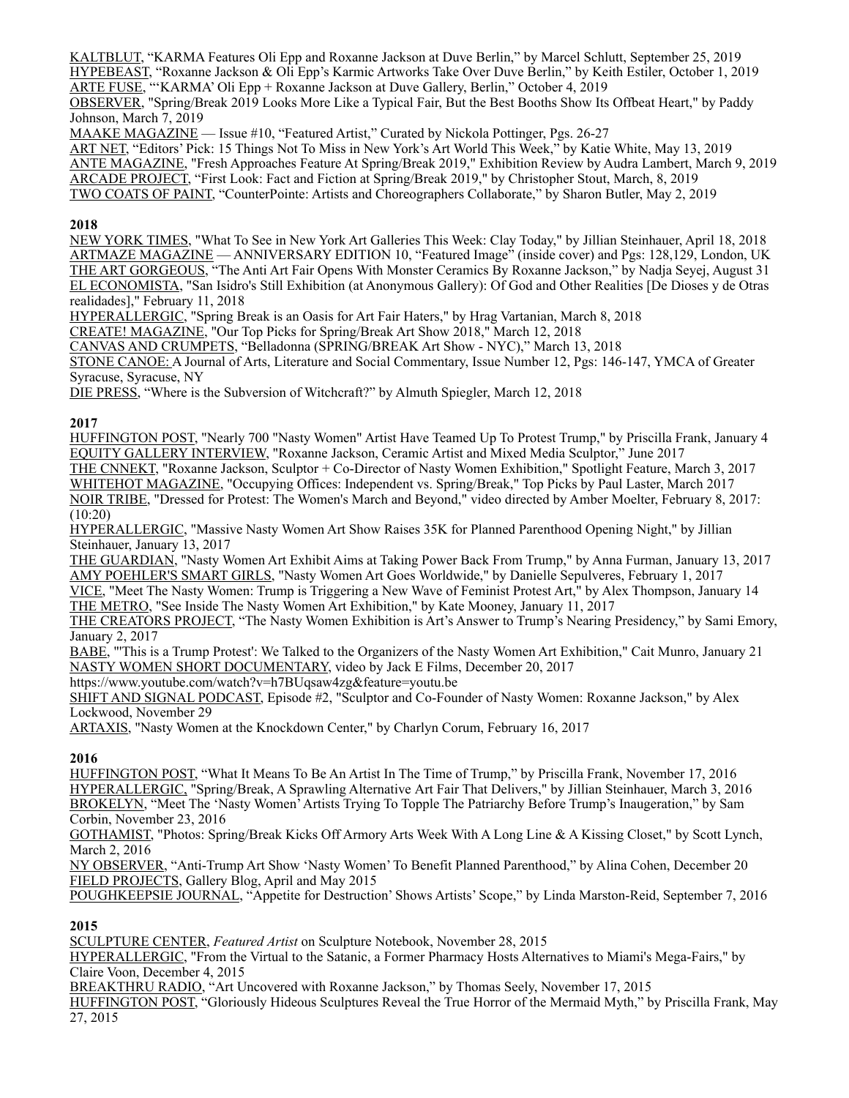KALTBLUT, "KARMA Features Oli Epp and Roxanne Jackson at Duve Berlin," by Marcel Schlutt, September 25, 2019 HYPEBEAST, "Roxanne Jackson & Oli Epp's Karmic Artworks Take Over Duve Berlin," by Keith Estiler, October 1, 2019 ARTE FUSE, "'KARMA' Oli Epp + Roxanne Jackson at Duve Gallery, Berlin," October 4, 2019

OBSERVER, "Spring/Break 2019 Looks More Like a Typical Fair, But the Best Booths Show Its Offbeat Heart," by Paddy Johnson, March 7, 2019

MAAKE MAGAZINE — Issue #10, "Featured Artist," Curated by Nickola Pottinger, Pgs. 26-27

ART NET, "Editors' Pick: 15 Things Not To Miss in New York's Art World This Week," by Katie White, May 13, 2019 ANTE MAGAZINE, "Fresh Approaches Feature At Spring/Break 2019," Exhibition Review by Audra Lambert, March 9, 2019 ARCADE PROJECT, "First Look: Fact and Fiction at Spring/Break 2019," by Christopher Stout, March, 8, 2019 TWO COATS OF PAINT, "CounterPointe: Artists and Choreographers Collaborate," by Sharon Butler, May 2, 2019

## **2018**

NEW YORK TIMES, "What To See in New York Art Galleries This Week: Clay Today," by Jillian Steinhauer, April 18, 2018 ARTMAZE MAGAZINE — ANNIVERSARY EDITION 10, "Featured Image" (inside cover) and Pgs: 128,129, London, UK THE ART GORGEOUS, "The Anti Art Fair Opens With Monster Ceramics By Roxanne Jackson," by Nadja Seyej, August 31 EL ECONOMISTA, "San Isidro's Still Exhibition (at Anonymous Gallery): Of God and Other Realities [De Dioses y de Otras realidades]," February 11, 2018

HYPERALLERGIC, "Spring Break is an Oasis for Art Fair Haters," by Hrag Vartanian, March 8, 2018

CREATE! MAGAZINE, "Our Top Picks for Spring/Break Art Show 2018," March 12, 2018

CANVAS AND CRUMPETS, "Belladonna (SPRING/BREAK Art Show - NYC)," March 13, 2018

STONE CANOE: A Journal of Arts, Literature and Social Commentary, Issue Number 12, Pgs: 146-147, YMCA of Greater Syracuse, Syracuse, NY

DIE PRESS, "Where is the Subversion of Witchcraft?" by Almuth Spiegler, March 12, 2018

## **2017**

HUFFINGTON POST, "Nearly 700 "Nasty Women" Artist Have Teamed Up To Protest Trump," by Priscilla Frank, January 4 EQUITY GALLERY INTERVIEW, "Roxanne Jackson, Ceramic Artist and Mixed Media Sculptor," June 2017

THE CNNEKT, "Roxanne Jackson, Sculptor + Co-Director of Nasty Women Exhibition," Spotlight Feature, March 3, 2017 WHITEHOT MAGAZINE, "Occupying Offices: Independent vs. Spring/Break," Top Picks by Paul Laster, March 2017 NOIR TRIBE, "Dressed for Protest: The Women's March and Beyond," video directed by Amber Moelter, February 8, 2017:

(10:20)

HYPERALLERGIC, "Massive Nasty Women Art Show Raises 35K for Planned Parenthood Opening Night," by Jillian Steinhauer, January 13, 2017

THE GUARDIAN, "Nasty Women Art Exhibit Aims at Taking Power Back From Trump," by Anna Furman, January 13, 2017 AMY POEHLER'S SMART GIRLS, "Nasty Women Art Goes Worldwide," by Danielle Sepulveres, February 1, 2017

VICE, "Meet The Nasty Women: Trump is Triggering a New Wave of Feminist Protest Art," by Alex Thompson, January 14 THE METRO, "See Inside The Nasty Women Art Exhibition," by Kate Mooney, January 11, 2017

THE CREATORS PROJECT, "The Nasty Women Exhibition is Art's Answer to Trump's Nearing Presidency," by Sami Emory, January 2, 2017

BABE, "'This is a Trump Protest': We Talked to the Organizers of the Nasty Women Art Exhibition," Cait Munro, January 21 NASTY WOMEN SHORT DOCUMENTARY, video by Jack E Films, December 20, 2017

<https://www.youtube.com/watch?v=h7BUqsaw4zg&feature=youtu.be>

SHIFT AND SIGNAL PODCAST, Episode #2, "Sculptor and Co-Founder of Nasty Women: Roxanne Jackson," by Alex Lockwood, November 29

ARTAXIS, "Nasty Women at the Knockdown Center," by Charlyn Corum, February 16, 2017

## **2016**

HUFFINGTON POST, "What It Means To Be An Artist In The Time of Trump," by Priscilla Frank, November 17, 2016 HYPERALLERGIC, "Spring/Break, A Sprawling Alternative Art Fair That Delivers," by Jillian Steinhauer, March 3, 2016 BROKELYN, "Meet The 'Nasty Women' Artists Trying To Topple The Patriarchy Before Trump's Inaugeration," by Sam Corbin, November 23, 2016

GOTHAMIST, "Photos: Spring/Break Kicks Off Armory Arts Week With A Long Line & A Kissing Closet," by Scott Lynch, March 2, 2016

NY OBSERVER, "Anti-Trump Art Show 'Nasty Women' To Benefit Planned Parenthood," by Alina Cohen, December 20 FIELD PROJECTS, Gallery Blog, April and May 2015

POUGHKEEPSIE JOURNAL, "Appetite for Destruction' Shows Artists' Scope," by Linda Marston-Reid, September 7, 2016

## **2015**

SCULPTURE CENTER, *Featured Artist* on Sculpture Notebook, November 28, 2015

HYPERALLERGIC, "From the Virtual to the Satanic, a Former Pharmacy Hosts Alternatives to Miami's Mega-Fairs," by Claire Voon, December 4, 2015

BREAKTHRU RADIO, "Art Uncovered with Roxanne Jackson," by Thomas Seely, November 17, 2015

HUFFINGTON POST, "Gloriously Hideous Sculptures Reveal the True Horror of the Mermaid Myth," by Priscilla Frank, May 27, 2015